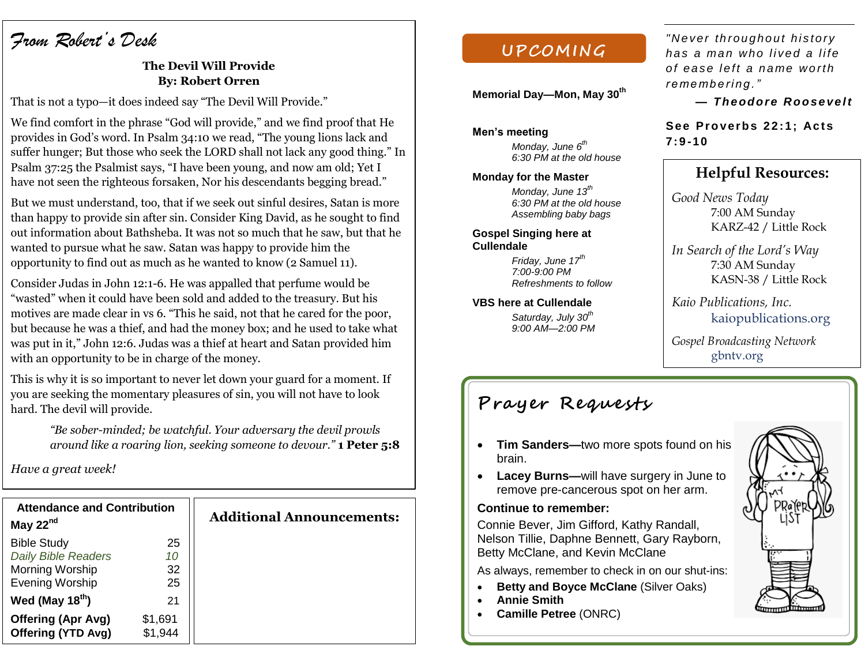# *From Robert's Desk*

## **The Devil Will Provide By: Robert Orren**

That is not a typo—it does indeed say "The Devil Will Provide."

We find comfort in the phrase "God will provide," and we find proof that He provides in God's word. In Psalm 34:10 we read, "The young lions lack and suffer hunger; But those who seek the LORD shall not lack any good thing." In Psalm 37:25 the Psalmist says, "I have been young, and now am old; Yet I have not seen the righteous forsaken, Nor his descendants begging bread."

But we must understand, too, that if we seek out sinful desires, Satan is more than happy to provide sin after sin. Consider King David, as he sought to find out information about Bathsheba. It was not so much that he saw, but that he wanted to pursue what he saw. Satan was happy to provide him the opportunity to find out as much as he wanted to know (2 Samuel 11).

Consider Judas in John 12:1-6. He was appalled that perfume would be "wasted" when it could have been sold and added to the treasury. But his motives are made clear in vs 6. "This he said, not that he cared for the poor, but because he was a thief, and had the money box; and he used to take what was put in it," John 12:6. Judas was a thief at heart and Satan provided him with an opportunity to be in charge of the money.

This is why it is so important to never let down your guard for a moment. If you are seeking the momentary pleasures of sin, you will not have to look hard. The devil will provide.

*"Be sober-minded; be watchful. Your adversary the devil prowls around like a roaring lion, seeking someone to devour."* **1 Peter 5:8**

*Have a great week!*

| <b>Attendance and Contribution</b> | <b>Additional Announcements:</b> |
|------------------------------------|----------------------------------|
| 25<br>10<br>32<br>25               |                                  |
| 21                                 |                                  |
| \$1,691<br>\$1,944                 |                                  |
|                                    |                                  |

## **UPCOM ING**

**Memorial Day—Mon, May 30th**

**Men's meeting** *Monday, June 6th* 

*6:30 PM at the old house*

#### **Monday for the Master**

*Monday, June 13 th 6:30 PM at the old house Assembling baby bags* 

**Gospel Singing here at Cullendale**

> *Friday, June 17th 7:00-9:00 PM Refreshments to follow*

#### **VBS here at Cullendale**

*Saturday, July 30th 9:00 AM—2:00 PM* *"N e ver th roug hou t hi s to ry ha s a ma n w ho l i ved a l i fe o f eas e l e f t a na me w o rth r e me mb e ri ng . "* 

 $-$  *Theodore Roosevelt* 

See Proverbs 22:1; Acts **7: 9 -10**

## **Helpful Resources:**

*Good News Today* 7:00 AM Sunday KARZ-42 / Little Rock

*In Search of the Lord's Way* 7:30 AM Sunday KASN-38 / Little Rock

*Kaio Publications, Inc.* kaiopublications.org

*Gospel Broadcasting Network* gbntv.org

# **Prayer Requests**

- **Tim Sanders—**two more spots found on his brain.
- **Lacey Burns—**will have surgery in June to remove pre-cancerous spot on her arm.

## **Continue to remember:**

Connie Bever, Jim Gifford, Kathy Randall, Nelson Tillie, Daphne Bennett, Gary Rayborn, Betty McClane, and Kevin McClane

As always, remember to check in on our shut-ins:

- **Betty and Boyce McClane (Silver Oaks)**
- **Annie Smith**
- **Camille Petree** (ONRC)